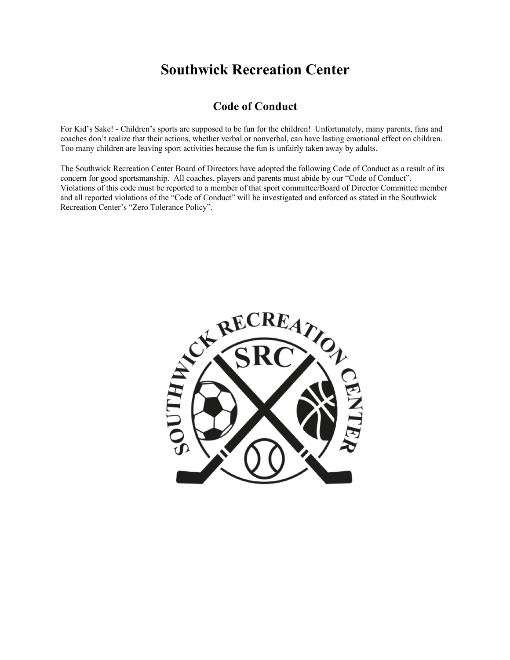# **Southwick Recreation Center**

### **Code of Conduct**

For Kid's Sake! - Children's sports are supposed to be fun for the children! Unfortunately, many parents, fans and coaches don't realize that their actions, whether verbal or nonverbal, can have lasting emotional effect on children. Too many children are leaving sport activities because the fun is unfairly taken away by adults.

The Southwick Recreation Center Board of Directors have adopted the following Code of Conduct as a result of its concern for good sportsmanship. All coaches, players and parents must abide by our "Code of Conduct". Violations of this code must be reported to a member of that sport committee/Board of Director Committee member and all reported violations of the "Code of Conduct" will be investigated and enforced as stated in the Southwick Recreation Center's "Zero Tolerance Policy".

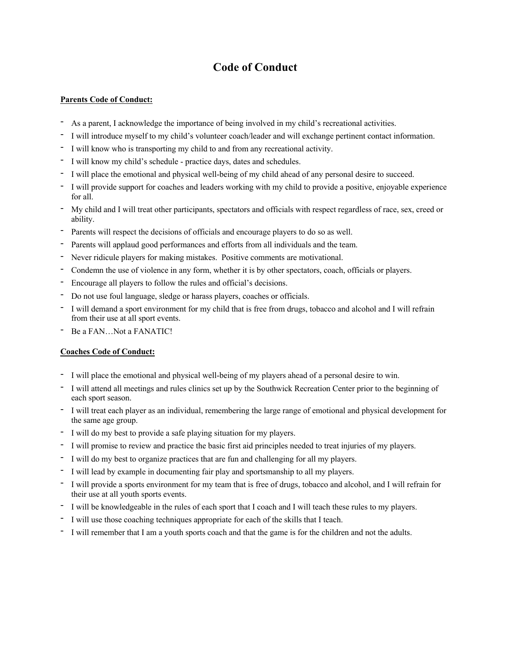## **Code of Conduct**

#### **Parents Code of Conduct:**

- As a parent, I acknowledge the importance of being involved in my child's recreational activities.
- I will introduce myself to my child's volunteer coach/leader and will exchange pertinent contact information.
- I will know who is transporting my child to and from any recreational activity.
- I will know my child's schedule practice days, dates and schedules.
- I will place the emotional and physical well-being of my child ahead of any personal desire to succeed.
- I will provide support for coaches and leaders working with my child to provide a positive, enjoyable experience for all.
- My child and I will treat other participants, spectators and officials with respect regardless of race, sex, creed or ability.
- Parents will respect the decisions of officials and encourage players to do so as well.
- Parents will applaud good performances and efforts from all individuals and the team.
- Never ridicule players for making mistakes. Positive comments are motivational.
- Condemn the use of violence in any form, whether it is by other spectators, coach, officials or players.
- Encourage all players to follow the rules and official's decisions.
- Do not use foul language, sledge or harass players, coaches or officials.
- I will demand a sport environment for my child that is free from drugs, tobacco and alcohol and I will refrain from their use at all sport events.
- Be a FAN...Not a FANATIC!

#### **Coaches Code of Conduct:**

- I will place the emotional and physical well-being of my players ahead of a personal desire to win.
- I will attend all meetings and rules clinics set up by the Southwick Recreation Center prior to the beginning of each sport season.
- I will treat each player as an individual, remembering the large range of emotional and physical development for the same age group.
- I will do my best to provide a safe playing situation for my players.
- I will promise to review and practice the basic first aid principles needed to treat injuries of my players.
- I will do my best to organize practices that are fun and challenging for all my players.
- I will lead by example in documenting fair play and sportsmanship to all my players.
- I will provide a sports environment for my team that is free of drugs, tobacco and alcohol, and I will refrain for their use at all youth sports events.
- I will be knowledgeable in the rules of each sport that I coach and I will teach these rules to my players.
- I will use those coaching techniques appropriate for each of the skills that I teach.
- I will remember that I am a youth sports coach and that the game is for the children and not the adults.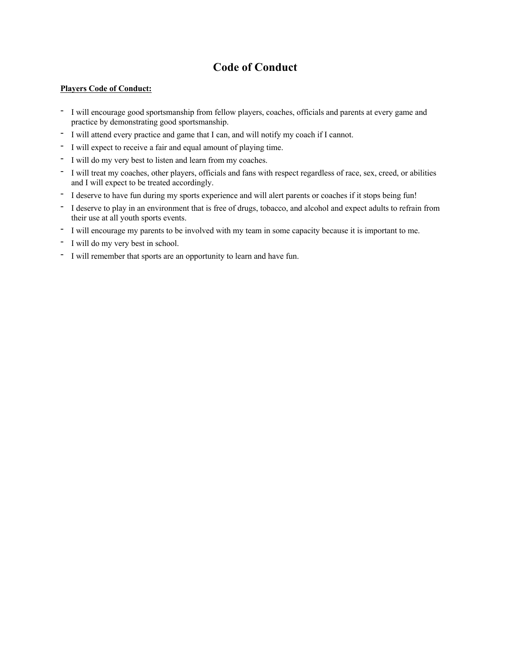## **Code of Conduct**

#### **Players Code of Conduct:**

- I will encourage good sportsmanship from fellow players, coaches, officials and parents at every game and practice by demonstrating good sportsmanship.
- I will attend every practice and game that I can, and will notify my coach if I cannot.
- I will expect to receive a fair and equal amount of playing time.
- I will do my very best to listen and learn from my coaches.
- I will treat my coaches, other players, officials and fans with respect regardless of race, sex, creed, or abilities and I will expect to be treated accordingly.
- I deserve to have fun during my sports experience and will alert parents or coaches if it stops being fun!
- I deserve to play in an environment that is free of drugs, tobacco, and alcohol and expect adults to refrain from their use at all youth sports events.
- I will encourage my parents to be involved with my team in some capacity because it is important to me.
- I will do my very best in school.
- I will remember that sports are an opportunity to learn and have fun.